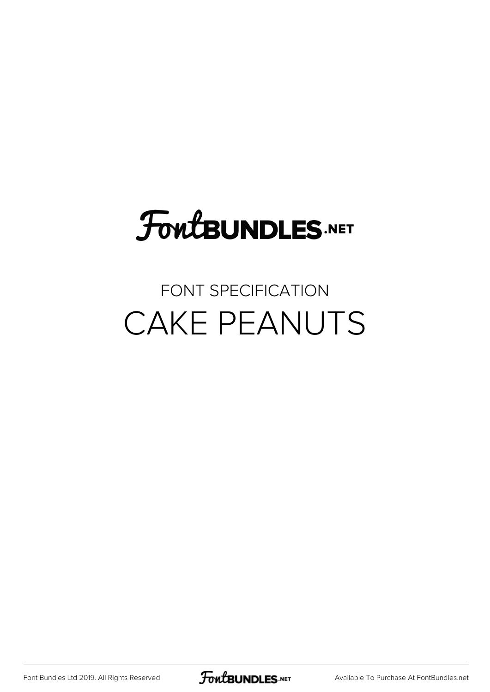# **FoutBUNDLES.NET**

#### FONT SPECIFICATION CAKE PEANUTS

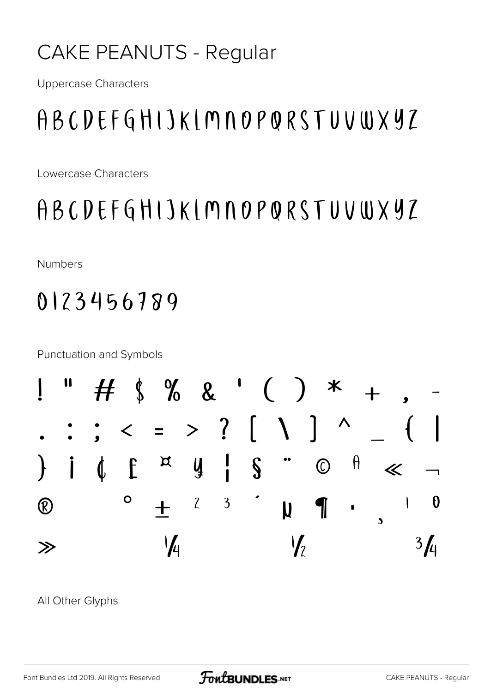#### **CAKE PEANUTS - Regular**

**Uppercase Characters** 

### ABCDEFGHIJKLMNOPQRSTUVWXYZ

Lowercase Characters

ABCDEFGHIJKIMNOPQRSTUVWXYZ

**Numbers** 

#### 0123456789

**Punctuation and Symbols** 



All Other Glyphs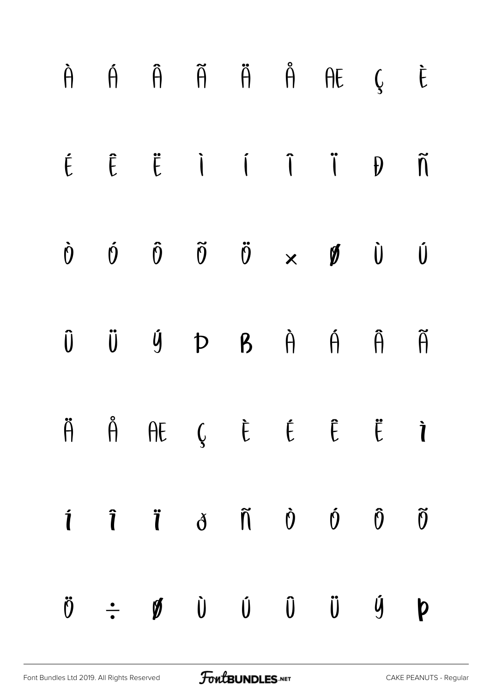|  |  |  | $\hat{H}$ $\hat{H}$ $\hat{H}$ $\hat{H}$ $\hat{H}$ $\hat{H}$ $\hat{H}$ $\hat{G}$ $\hat{E}$                                                        |  |
|--|--|--|--------------------------------------------------------------------------------------------------------------------------------------------------|--|
|  |  |  | $\begin{array}{ccccccccccccccccc} \hat{E} & \hat{E} & \hat{E} & \hat{I} & \hat{I} & \hat{I} & \hat{I} & \hat{I} & \hat{I} & \hat{I} \end{array}$ |  |
|  |  |  | $\begin{array}{ccccccccccccccccc} \dot{0} & \dot{0} & \dot{0} & \ddot{0} & \dot{0} & \times & \mathcal{Y} & \dot{0} & \dot{0} \end{array}$       |  |
|  |  |  | $\hat{U}$ $\hat{U}$ $\hat{Y}$ $D$ $B$ $\hat{A}$ $\hat{A}$ $\hat{B}$ $\hat{B}$                                                                    |  |
|  |  |  | $\ddot{\theta}$ $\dot{\theta}$ $\theta$ $\dot{\theta}$ $\dot{\theta}$ $\dot{\theta}$ $\dot{\theta}$ $\dot{\theta}$ $\dot{\theta}$                |  |
|  |  |  | $\mathbf{i}$ $\mathbf{i}$ $\mathbf{j}$ $\mathbf{d}$ $\mathbf{d}$ $\mathbf{0}$ $\mathbf{0}$ $\mathbf{0}$ $\mathbf{0}$                             |  |
|  |  |  | $\ddot{\theta}$ $\div$ $\dot{\theta}$ $\dot{\theta}$ $\dot{\theta}$ $\ddot{\theta}$ $\ddot{\theta}$ $\dot{\theta}$ $\dot{\theta}$ $\dot{\theta}$ |  |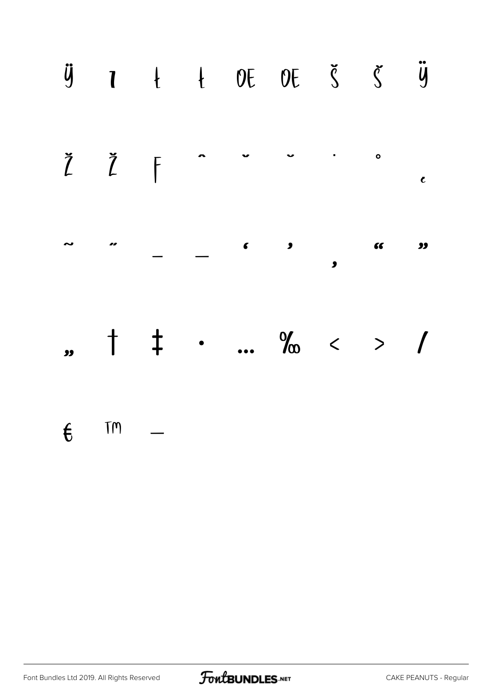